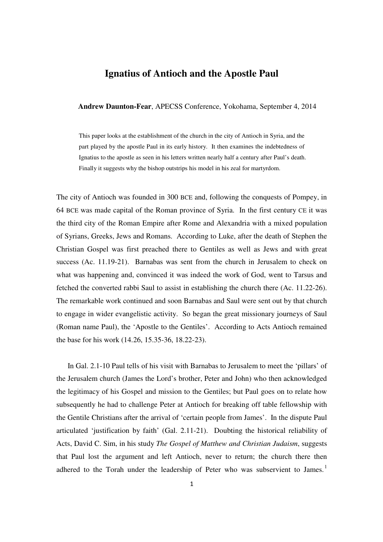## **Ignatius of Antioch and the Apostle Paul**

## **Andrew Daunton-Fear**, APECSS Conference, Yokohama, September 4, 2014

This paper looks at the establishment of the church in the city of Antioch in Syria, and the part played by the apostle Paul in its early history. It then examines the indebtedness of Ignatius to the apostle as seen in his letters written nearly half a century after Paul's death. Finally it suggests why the bishop outstrips his model in his zeal for martyrdom.

The city of Antioch was founded in 300 BCE and, following the conquests of Pompey, in 64 BCE was made capital of the Roman province of Syria. In the first century CE it was the third city of the Roman Empire after Rome and Alexandria with a mixed population of Syrians, Greeks, Jews and Romans. According to Luke, after the death of Stephen the Christian Gospel was first preached there to Gentiles as well as Jews and with great success (Ac. 11.19-21). Barnabas was sent from the church in Jerusalem to check on what was happening and, convinced it was indeed the work of God, went to Tarsus and fetched the converted rabbi Saul to assist in establishing the church there (Ac. 11.22-26). The remarkable work continued and soon Barnabas and Saul were sent out by that church to engage in wider evangelistic activity. So began the great missionary journeys of Saul (Roman name Paul), the 'Apostle to the Gentiles'. According to Acts Antioch remained the base for his work (14.26, 15.35-36, 18.22-23).

In Gal. 2.1-10 Paul tells of his visit with Barnabas to Jerusalem to meet the 'pillars' of the Jerusalem church (James the Lord's brother, Peter and John) who then acknowledged the legitimacy of his Gospel and mission to the Gentiles; but Paul goes on to relate how subsequently he had to challenge Peter at Antioch for breaking off table fellowship with the Gentile Christians after the arrival of 'certain people from James'. In the dispute Paul articulated 'justification by faith' (Gal. 2.11-21). Doubting the historical reliability of Acts, David C. Sim, in his study *The Gospel of Matthew and Christian Judaism*, suggests that Paul lost the argument and left Antioch, never to return; the church there then adhered to the Torah under the leadership of Peter who was subservient to James.<sup>1</sup>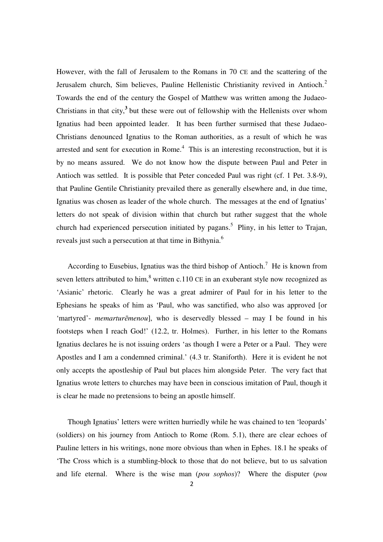However, with the fall of Jerusalem to the Romans in 70 CE and the scattering of the Jerusalem church, Sim believes, Pauline Hellenistic Christianity revived in Antioch.<sup>2</sup> Towards the end of the century the Gospel of Matthew was written among the Judaeo-Christians in that city,<sup>3</sup> but these were out of fellowship with the Hellenists over whom Ignatius had been appointed leader. It has been further surmised that these Judaeo-Christians denounced Ignatius to the Roman authorities, as a result of which he was arrested and sent for execution in Rome.<sup>4</sup> This is an interesting reconstruction, but it is by no means assured. We do not know how the dispute between Paul and Peter in Antioch was settled. It is possible that Peter conceded Paul was right (cf. 1 Pet. 3.8-9), that Pauline Gentile Christianity prevailed there as generally elsewhere and, in due time, Ignatius was chosen as leader of the whole church. The messages at the end of Ignatius' letters do not speak of division within that church but rather suggest that the whole church had experienced persecution initiated by pagans. 5 Pliny, in his letter to Trajan, reveals just such a persecution at that time in Bithynia.<sup>6</sup>

According to Eusebius, Ignatius was the third bishop of Antioch.<sup>7</sup> He is known from seven letters attributed to him, $8$  written c.110 CE in an exuberant style now recognized as 'Asianic' rhetoric. Clearly he was a great admirer of Paul for in his letter to the Ephesians he speaks of him as 'Paul, who was sanctified, who also was approved [or 'martyred'- *memarturēmenou*], who is deservedly blessed – may I be found in his footsteps when I reach God!' (12.2, tr. Holmes). Further, in his letter to the Romans Ignatius declares he is not issuing orders 'as though I were a Peter or a Paul. They were Apostles and I am a condemned criminal.' (4.3 tr. Staniforth). Here it is evident he not only accepts the apostleship of Paul but places him alongside Peter. The very fact that Ignatius wrote letters to churches may have been in conscious imitation of Paul, though it is clear he made no pretensions to being an apostle himself.

Though Ignatius' letters were written hurriedly while he was chained to ten 'leopards' (soldiers) on his journey from Antioch to Rome (Rom. 5.1), there are clear echoes of Pauline letters in his writings, none more obvious than when in Ephes. 18.1 he speaks of 'The Cross which is a stumbling-block to those that do not believe, but to us salvation and life eternal. Where is the wise man (*pou sophos*)? Where the disputer (*pou*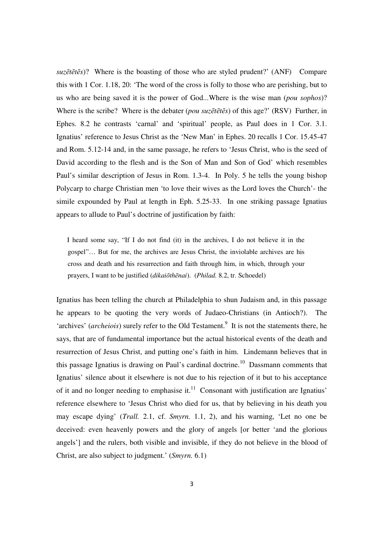*suzētētēs*)? Where is the boasting of those who are styled prudent?' (ANF) Compare this with 1 Cor. 1.18, 20: 'The word of the cross is folly to those who are perishing, but to us who are being saved it is the power of God...Where is the wise man (*pou sophos*)? Where is the scribe? Where is the debater (*pou suzētētēs*) of this age?' (RSV) Further, in Ephes. 8.2 he contrasts 'carnal' and 'spiritual' people, as Paul does in 1 Cor. 3.1. Ignatius' reference to Jesus Christ as the 'New Man' in Ephes. 20 recalls 1 Cor. 15.45-47 and Rom. 5.12-14 and, in the same passage, he refers to 'Jesus Christ, who is the seed of David according to the flesh and is the Son of Man and Son of God' which resembles Paul's similar description of Jesus in Rom. 1.3-4. In Poly. 5 he tells the young bishop Polycarp to charge Christian men 'to love their wives as the Lord loves the Church'- the simile expounded by Paul at length in Eph. 5.25-33. In one striking passage Ignatius appears to allude to Paul's doctrine of justification by faith:

I heard some say, "If I do not find (it) in the archives, I do not believe it in the gospel"… But for me, the archives are Jesus Christ, the inviolable archives are his cross and death and his resurrection and faith through him, in which, through your prayers, I want to be justified (*dikaiōthēnai*). (*Philad.* 8.2, tr. Schoedel)

Ignatius has been telling the church at Philadelphia to shun Judaism and, in this passage he appears to be quoting the very words of Judaeo-Christians (in Antioch?). The 'archives' (*archeiois*) surely refer to the Old Testament.<sup>9</sup> It is not the statements there, he says, that are of fundamental importance but the actual historical events of the death and resurrection of Jesus Christ, and putting one's faith in him. Lindemann believes that in this passage Ignatius is drawing on Paul's cardinal doctrine.<sup>10</sup> Dassmann comments that Ignatius' silence about it elsewhere is not due to his rejection of it but to his acceptance of it and no longer needing to emphasise it.<sup>11</sup> Consonant with justification are Ignatius' reference elsewhere to 'Jesus Christ who died for us, that by believing in his death you may escape dying' (*Trall.* 2.1, cf. *Smyrn.* 1.1, 2), and his warning, 'Let no one be deceived: even heavenly powers and the glory of angels [or better 'and the glorious angels'] and the rulers, both visible and invisible, if they do not believe in the blood of Christ, are also subject to judgment.' (*Smyrn.* 6.1)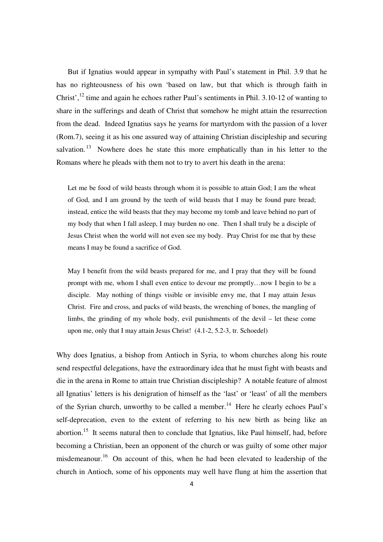But if Ignatius would appear in sympathy with Paul's statement in Phil. 3.9 that he has no righteousness of his own 'based on law, but that which is through faith in Christ',  $^{12}$  time and again he echoes rather Paul's sentiments in Phil. 3.10-12 of wanting to share in the sufferings and death of Christ that somehow he might attain the resurrection from the dead. Indeed Ignatius says he yearns for martyrdom with the passion of a lover (Rom.7), seeing it as his one assured way of attaining Christian discipleship and securing salvation.<sup>13</sup> Nowhere does he state this more emphatically than in his letter to the Romans where he pleads with them not to try to avert his death in the arena:

Let me be food of wild beasts through whom it is possible to attain God; I am the wheat of God, and I am ground by the teeth of wild beasts that I may be found pure bread; instead, entice the wild beasts that they may become my tomb and leave behind no part of my body that when I fall asleep, I may burden no one. Then I shall truly be a disciple of Jesus Christ when the world will not even see my body. Pray Christ for me that by these means I may be found a sacrifice of God.

May I benefit from the wild beasts prepared for me, and I pray that they will be found prompt with me, whom I shall even entice to devour me promptly…now I begin to be a disciple. May nothing of things visible or invisible envy me, that I may attain Jesus Christ. Fire and cross, and packs of wild beasts, the wrenching of bones, the mangling of limbs, the grinding of my whole body, evil punishments of the devil – let these come upon me, only that I may attain Jesus Christ! (4.1-2, 5.2-3, tr. Schoedel)

Why does Ignatius, a bishop from Antioch in Syria, to whom churches along his route send respectful delegations, have the extraordinary idea that he must fight with beasts and die in the arena in Rome to attain true Christian discipleship? A notable feature of almost all Ignatius' letters is his denigration of himself as the 'last' or 'least' of all the members of the Syrian church, unworthy to be called a member.<sup>14</sup> Here he clearly echoes Paul's self-deprecation, even to the extent of referring to his new birth as being like an abortion.<sup>15</sup> It seems natural then to conclude that Ignatius, like Paul himself, had, before becoming a Christian, been an opponent of the church or was guilty of some other major misdemeanour.<sup>16</sup> On account of this, when he had been elevated to leadership of the church in Antioch, some of his opponents may well have flung at him the assertion that